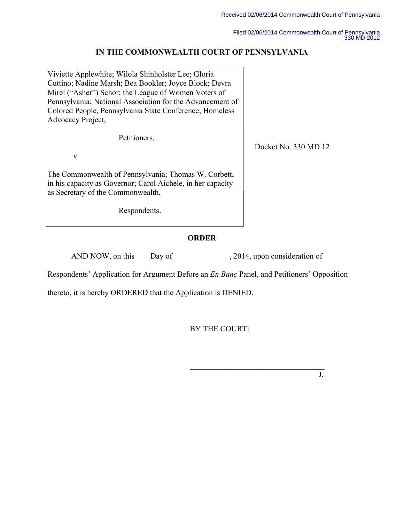Docket No. 330 MD 12

Filed 02/06/2014 Commonwealth Court of Pennsylvania 330 MD 2012

## **IN THE COMMONWEALTH COURT OF PENNSYLVANIA**

Viviette Applewhite; Wilola Shinholster Lee; Gloria Cuttino; Nadine Marsh; Bea Bookler; Joyce Block; Devra Mirel ("Asher") Schor; the League of Women Voters of Pennsylvania; National Association for the Advancement of Colored People, Pennsylvania State Conference; Homeless Advocacy Project,

Petitioners,

v.

The Commonwealth of Pennsylvania; Thomas W. Corbett, in his capacity as Governor; Carol Aichele, in her capacity as Secretary of the Commonwealth,

Respondents.

# **ORDER**

AND NOW, on this Day of 2014, upon consideration of

Respondents' Application for Argument Before an *En Banc* Panel, and Petitioners' Opposition

thereto, it is hereby ORDERED that the Application is DENIED.

BY THE COURT:

 $\mathcal{L}_\text{max}$  , and the contract of the contract of the contract of the contract of the contract of the contract of the contract of the contract of the contract of the contract of the contract of the contract of the contr J.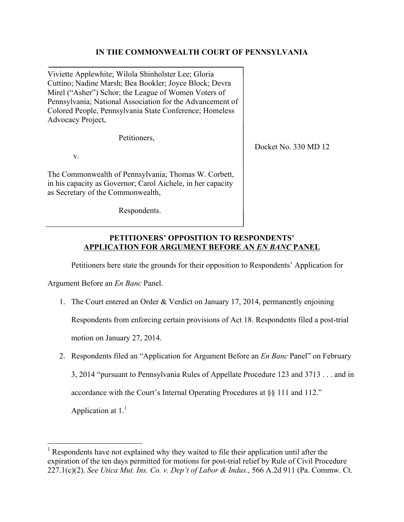### **IN THE COMMONWEALTH COURT OF PENNSYLVANIA**

Viviette Applewhite; Wilola Shinholster Lee; Gloria Cuttino; Nadine Marsh; Bea Bookler; Joyce Block; Devra Mirel ("Asher") Schor; the League of Women Voters of Pennsylvania; National Association for the Advancement of Colored People, Pennsylvania State Conference; Homeless Advocacy Project,

Petitioners,

v.

The Commonwealth of Pennsylvania; Thomas W. Corbett, in his capacity as Governor; Carol Aichele, in her capacity as Secretary of the Commonwealth,

Respondents.

Docket No. 330 MD 12

#### **PETITIONERS' OPPOSITION TO RESPONDENTS' APPLICATION FOR ARGUMENT BEFORE AN** *EN BANC* **PANEL**

Petitioners here state the grounds for their opposition to Respondents' Application for

Argument Before an *En Banc* Panel.

1. The Court entered an Order & Verdict on January 17, 2014, permanently enjoining

Respondents from enforcing certain provisions of Act 18. Respondents filed a post-trial

motion on January 27, 2014.

2. Respondents filed an "Application for Argument Before an *En Banc* Panel" on February

3, 2014 "pursuant to Pennsylvania Rules of Appellate Procedure 123 and 3713 . . . and in

accordance with the Court's Internal Operating Procedures at §§ 111 and 112."

Application at  $1<sup>1</sup>$ 

 $\overline{a}$ 

<sup>&</sup>lt;sup>1</sup> Respondents have not explained why they waited to file their application until after the expiration of the ten days permitted for motions for post-trial relief by Rule of Civil Procedure 227.1(c)(2). *See Utica Mut. Ins. Co. v. Dep't of Labor & Indus.*, 566 A.2d 911 (Pa. Commw. Ct.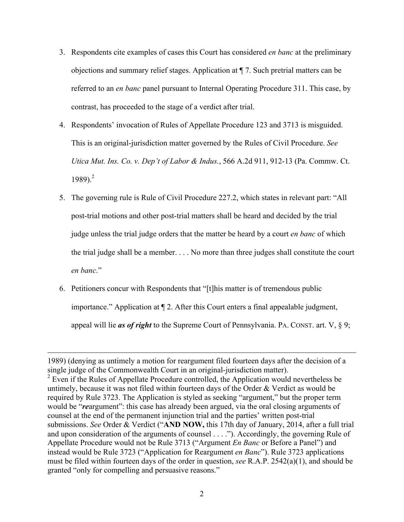- 3. Respondents cite examples of cases this Court has considered *en banc* at the preliminary objections and summary relief stages. Application at ¶ 7. Such pretrial matters can be referred to an *en banc* panel pursuant to Internal Operating Procedure 311. This case, by contrast, has proceeded to the stage of a verdict after trial.
- 4. Respondents' invocation of Rules of Appellate Procedure 123 and 3713 is misguided. This is an original-jurisdiction matter governed by the Rules of Civil Procedure. *See Utica Mut. Ins. Co. v. Dep't of Labor & Indus.*, 566 A.2d 911, 912-13 (Pa. Commw. Ct. 1989). 2
- 5. The governing rule is Rule of Civil Procedure 227.2, which states in relevant part: "All post-trial motions and other post-trial matters shall be heard and decided by the trial judge unless the trial judge orders that the matter be heard by a court *en banc* of which the trial judge shall be a member. . . . No more than three judges shall constitute the court *en banc*."
- 6. Petitioners concur with Respondents that "[t]his matter is of tremendous public importance." Application at ¶ 2. After this Court enters a final appealable judgment, appeal will lie *as of right* to the Supreme Court of Pennsylvania. PA. CONST. art. V, § 9;

 $\overline{a}$ 

<sup>1989) (</sup>denying as untimely a motion for reargument filed fourteen days after the decision of a single judge of the Commonwealth Court in an original-jurisdiction matter).  $2^2$  Even if the Rules of Appellate Procedure controlled, the Application would nevertheless be untimely, because it was not filed within fourteen days of the Order & Verdict as would be required by Rule 3723. The Application is styled as seeking "argument," but the proper term would be "*re*argument": this case has already been argued, via the oral closing arguments of counsel at the end of the permanent injunction trial and the parties' written post-trial submissions. *See* Order & Verdict ("**AND NOW,** this 17th day of January, 2014, after a full trial and upon consideration of the arguments of counsel . . . ."). Accordingly, the governing Rule of Appellate Procedure would not be Rule 3713 ("Argument *En Banc* or Before a Panel") and instead would be Rule 3723 ("Application for Reargument *en Banc*"). Rule 3723 applications must be filed within fourteen days of the order in question, *see* R.A.P. 2542(a)(1), and should be granted "only for compelling and persuasive reasons."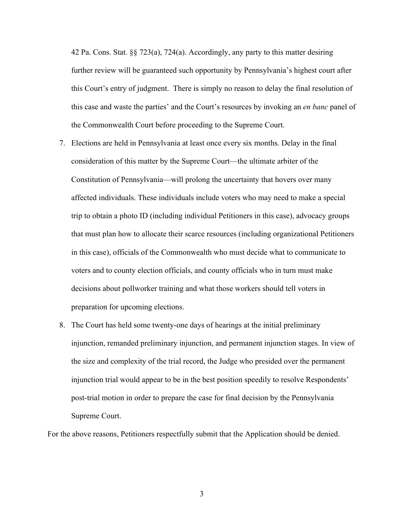42 Pa. Cons. Stat. §§ 723(a), 724(a). Accordingly, any party to this matter desiring further review will be guaranteed such opportunity by Pennsylvania's highest court after this Court's entry of judgment. There is simply no reason to delay the final resolution of this case and waste the parties' and the Court's resources by invoking an *en banc* panel of the Commonwealth Court before proceeding to the Supreme Court.

- 7. Elections are held in Pennsylvania at least once every six months. Delay in the final consideration of this matter by the Supreme Court—the ultimate arbiter of the Constitution of Pennsylvania—will prolong the uncertainty that hovers over many affected individuals. These individuals include voters who may need to make a special trip to obtain a photo ID (including individual Petitioners in this case), advocacy groups that must plan how to allocate their scarce resources (including organizational Petitioners in this case), officials of the Commonwealth who must decide what to communicate to voters and to county election officials, and county officials who in turn must make decisions about pollworker training and what those workers should tell voters in preparation for upcoming elections.
- 8. The Court has held some twenty-one days of hearings at the initial preliminary injunction, remanded preliminary injunction, and permanent injunction stages. In view of the size and complexity of the trial record, the Judge who presided over the permanent injunction trial would appear to be in the best position speedily to resolve Respondents' post-trial motion in order to prepare the case for final decision by the Pennsylvania Supreme Court.

For the above reasons, Petitioners respectfully submit that the Application should be denied.

3